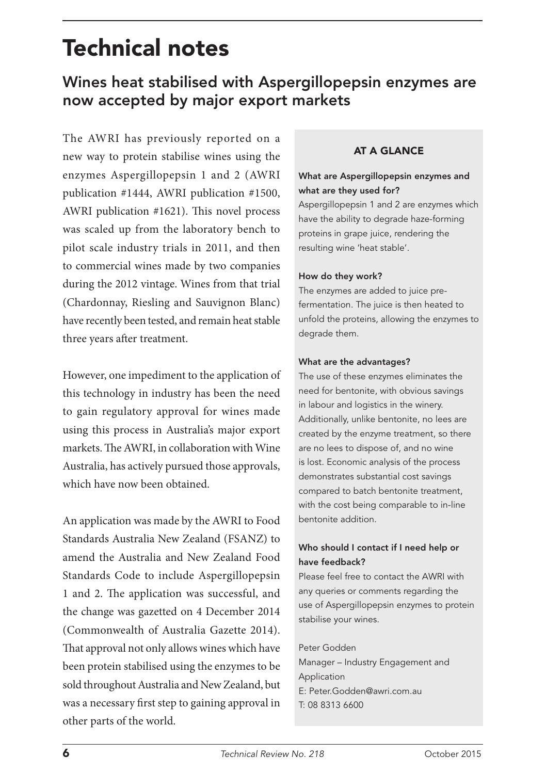# Technical notes

# Wines heat stabilised with Aspergillopepsin enzymes are now accepted by major export markets

The AWRI has previously reported on a new way to protein stabilise wines using the enzymes Aspergillopepsin 1 and 2 (AWRI publication #1444, AWRI publication #1500, AWRI publication #1621). This novel process was scaled up from the laboratory bench to pilot scale industry trials in 2011, and then to commercial wines made by two companies during the 2012 vintage. Wines from that trial (Chardonnay, Riesling and Sauvignon Blanc) have recently been tested, and remain heat stable three years after treatment.

However, one impediment to the application of this technology in industry has been the need to gain regulatory approval for wines made using this process in Australia's major export markets. The AWRI, in collaboration with Wine Australia, has actively pursued those approvals, which have now been obtained.

An application was made by the AWRI to Food Standards Australia New Zealand (FSANZ) to amend the Australia and New Zealand Food Standards Code to include Aspergillopepsin 1 and 2. The application was successful, and the change was gazetted on 4 December 2014 (Commonwealth of Australia Gazette 2014). That approval not only allows wines which have been protein stabilised using the enzymes to be sold throughout Australia and New Zealand, but was a necessary first step to gaining approval in other parts of the world.

# AT A GLANCE

### What are Aspergillopepsin enzymes and what are they used for?

Aspergillopepsin 1 and 2 are enzymes which have the ability to degrade haze-forming proteins in grape juice, rendering the resulting wine 'heat stable'.

#### How do they work?

The enzymes are added to juice prefermentation. The juice is then heated to unfold the proteins, allowing the enzymes to degrade them.

#### What are the advantages?

The use of these enzymes eliminates the need for bentonite, with obvious savings in labour and logistics in the winery. Additionally, unlike bentonite, no lees are created by the enzyme treatment, so there are no lees to dispose of, and no wine is lost. Economic analysis of the process demonstrates substantial cost savings compared to batch bentonite treatment, with the cost being comparable to in-line bentonite addition.

# Who should I contact if I need help or have feedback?

Please feel free to contact the AWRI with any queries or comments regarding the use of Aspergillopepsin enzymes to protein stabilise your wines.

#### Peter Godden

Manager – Industry Engagement and Application E: Peter.Godden@awri.com.au T: 08 8313 6600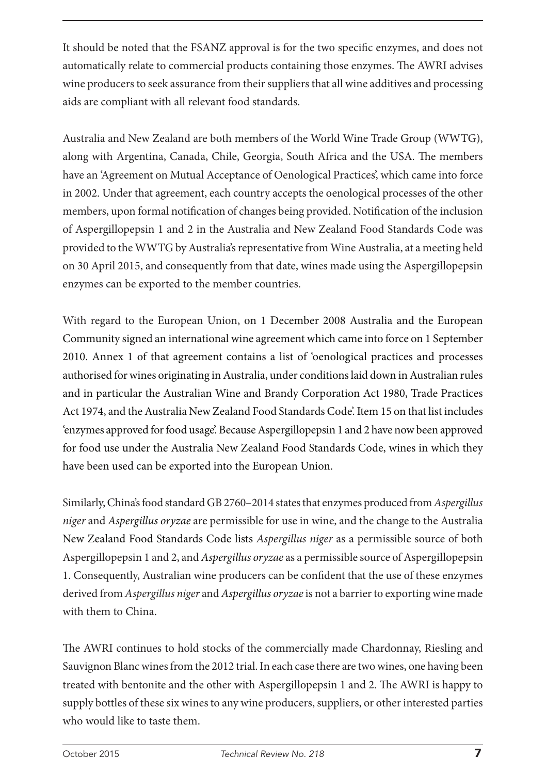It should be noted that the FSANZ approval is for the two specific enzymes, and does not automatically relate to commercial products containing those enzymes. The AWRI advises wine producers to seek assurance from their suppliers that all wine additives and processing aids are compliant with all relevant food standards.

Australia and New Zealand are both members of the World Wine Trade Group (WWTG), along with Argentina, Canada, Chile, Georgia, South Africa and the USA. The members have an 'Agreement on Mutual Acceptance of Oenological Practices', which came into force in 2002. Under that agreement, each country accepts the oenological processes of the other members, upon formal notification of changes being provided. Notification of the inclusion of Aspergillopepsin 1 and 2 in the Australia and New Zealand Food Standards Code was provided to the WWTG by Australia's representative from Wine Australia, at a meeting held on 30 April 2015, and consequently from that date, wines made using the Aspergillopepsin enzymes can be exported to the member countries.

With regard to the European Union, on 1 December 2008 Australia and the European Community signed an international wine agreement which came into force on 1 September 2010. Annex 1 of that agreement contains a list of 'oenological practices and processes authorised for wines originating in Australia, under conditions laid down in Australian rules and in particular the Australian Wine and Brandy Corporation Act 1980, Trade Practices Act 1974, and the Australia New Zealand Food Standards Code'. Item 15 on that list includes 'enzymes approved for food usage'. Because Aspergillopepsin 1 and 2 have now been approved for food use under the Australia New Zealand Food Standards Code, wines in which they have been used can be exported into the European Union.

Similarly, China's food standard GB 2760–2014 states that enzymes produced from *Aspergillus niger* and *Aspergillus oryzae* are permissible for use in wine, and the change to the Australia New Zealand Food Standards Code lists *Aspergillus niger* as a permissible source of both Aspergillopepsin 1 and 2, and *Aspergillus oryzae* as a permissible source of Aspergillopepsin 1. Consequently, Australian wine producers can be confident that the use of these enzymes derived from *Aspergillus niger* and *Aspergillus oryzae* is not a barrier to exporting wine made with them to China.

The AWRI continues to hold stocks of the commercially made Chardonnay, Riesling and Sauvignon Blanc wines from the 2012 trial. In each case there are two wines, one having been treated with bentonite and the other with Aspergillopepsin 1 and 2. The AWRI is happy to supply bottles of these six wines to any wine producers, suppliers, or other interested parties who would like to taste them.